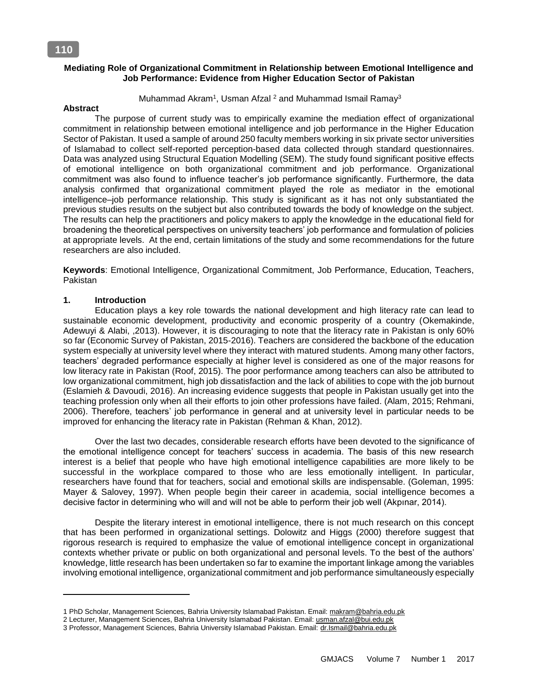### **Mediating Role of Organizational Commitment in Relationship between Emotional Intelligence and Job Performance: Evidence from Higher Education Sector of Pakistan**

Muhammad Akram<sup>1</sup>, Usman Afzal <sup>2</sup> and Muhammad Ismail Ramay<sup>3</sup>

#### **Abstract**

 The purpose of current study was to empirically examine the mediation effect of organizational commitment in relationship between emotional intelligence and job performance in the Higher Education Sector of Pakistan. It used a sample of around 250 faculty members working in six private sector universities of Islamabad to collect self-reported perception-based data collected through standard questionnaires. Data was analyzed using Structural Equation Modelling (SEM). The study found significant positive effects of emotional intelligence on both organizational commitment and job performance. Organizational commitment was also found to influence teacher's job performance significantly. Furthermore, the data analysis confirmed that organizational commitment played the role as mediator in the emotional intelligence–job performance relationship. This study is significant as it has not only substantiated the previous studies results on the subject but also contributed towards the body of knowledge on the subject. The results can help the practitioners and policy makers to apply the knowledge in the educational field for broadening the theoretical perspectives on university teachers' job performance and formulation of policies at appropriate levels. At the end, certain limitations of the study and some recommendations for the future researchers are also included.

**Keywords**: Emotional Intelligence, Organizational Commitment, Job Performance, Education, Teachers, Pakistan

### **1. Introduction**

 $\overline{a}$ 

Education plays a key role towards the national development and high literacy rate can lead to sustainable economic development, productivity and economic prosperity of a country (Okemakinde, Adewuyi & Alabi, ,2013). However, it is discouraging to note that the literacy rate in Pakistan is only 60% so far (Economic Survey of Pakistan, 2015-2016). Teachers are considered the backbone of the education system especially at university level where they interact with matured students. Among many other factors, teachers' degraded performance especially at higher level is considered as one of the major reasons for low literacy rate in Pakistan (Roof, 2015). The poor performance among teachers can also be attributed to low organizational commitment, high job dissatisfaction and the lack of abilities to cope with the job burnout (Eslamieh & Davoudi, 2016). An increasing evidence suggests that people in Pakistan usually get into the teaching profession only when all their efforts to join other professions have failed. (Alam, 2015; Rehmani, 2006). Therefore, teachers' job performance in general and at university level in particular needs to be improved for enhancing the literacy rate in Pakistan (Rehman & Khan, 2012).

Over the last two decades, considerable research efforts have been devoted to the significance of the emotional intelligence concept for teachers' success in academia. The basis of this new research interest is a belief that people who have high emotional intelligence capabilities are more likely to be successful in the workplace compared to those who are less emotionally intelligent. In particular, researchers have found that for teachers, social and emotional skills are indispensable. (Goleman, 1995: Mayer & Salovey, 1997). When people begin their career in academia, social intelligence becomes a decisive factor in determining who will and will not be able to perform their job well (Akpınar, 2014).

Despite the literary interest in emotional intelligence, there is not much research on this concept that has been performed in organizational settings. Dolowitz and Higgs (2000) therefore suggest that rigorous research is required to emphasize the value of emotional intelligence concept in organizational contexts whether private or public on both organizational and personal levels. To the best of the authors' knowledge, little research has been undertaken so far to examine the important linkage among the variables involving emotional intelligence, organizational commitment and job performance simultaneously especially

<sup>1</sup> PhD Scholar, Management Sciences, Bahria University Islamabad Pakistan. Email: [makram@bahria.edu.pk](mailto:makram@bahria.edu.pk) 

<sup>2</sup> Lecturer, Management Sciences, Bahria University Islamabad Pakistan. Email[: usman.afzal@bui.edu.pk](mailto:usman.afzal@bui.edu.pk)

<sup>3</sup> Professor, Management Sciences, Bahria University Islamabad Pakistan. Email[: dr.Ismail@bahria.edu.pk](mailto:dr.Ismail@bahria.edu.pk)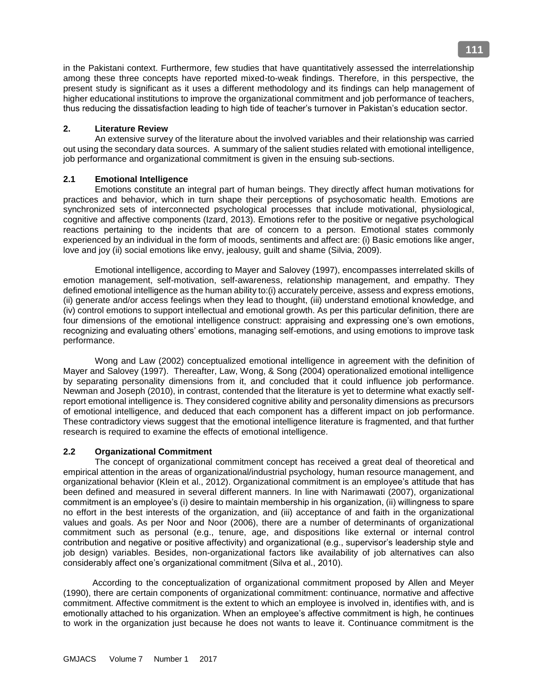in the Pakistani context. Furthermore, few studies that have quantitatively assessed the interrelationship among these three concepts have reported mixed-to-weak findings. Therefore, in this perspective, the present study is significant as it uses a different methodology and its findings can help management of higher educational institutions to improve the organizational commitment and job performance of teachers, thus reducing the dissatisfaction leading to high tide of teacher's turnover in Pakistan's education sector.

# **2. Literature Review**

An extensive survey of the literature about the involved variables and their relationship was carried out using the secondary data sources. A summary of the salient studies related with emotional intelligence, job performance and organizational commitment is given in the ensuing sub-sections.

## **2.1 Emotional Intelligence**

Emotions constitute an integral part of human beings. They directly affect human motivations for practices and behavior, which in turn shape their perceptions of psychosomatic health. Emotions are synchronized sets of interconnected psychological processes that include motivational, physiological, cognitive and affective components (Izard, 2013). Emotions refer to the positive or negative psychological reactions pertaining to the incidents that are of concern to a person. Emotional states commonly experienced by an individual in the form of moods, sentiments and affect are: (i) Basic emotions like anger, love and joy (ii) social emotions like envy, jealousy, guilt and shame (Silvia, 2009).

Emotional intelligence, according to Mayer and Salovey (1997), encompasses interrelated skills of emotion management, self-motivation, self-awareness, relationship management, and empathy. They defined emotional intelligence as the human ability to:(i) accurately perceive, assess and express emotions, (ii) generate and/or access feelings when they lead to thought, (iii) understand emotional knowledge, and (iv) control emotions to support intellectual and emotional growth. As per this particular definition, there are four dimensions of the emotional intelligence construct: appraising and expressing one's own emotions, recognizing and evaluating others' emotions, managing self-emotions, and using emotions to improve task performance.

Wong and Law (2002) conceptualized emotional intelligence in agreement with the definition of Mayer and Salovey (1997). Thereafter, Law, Wong, & Song (2004) operationalized emotional intelligence by separating personality dimensions from it, and concluded that it could influence job performance. Newman and Joseph (2010), in contrast, contended that the literature is yet to determine what exactly selfreport emotional intelligence is. They considered cognitive ability and personality dimensions as precursors of emotional intelligence, and deduced that each component has a different impact on job performance. These contradictory views suggest that the emotional intelligence literature is fragmented, and that further research is required to examine the effects of emotional intelligence.

### **2.2 Organizational Commitment**

The concept of organizational commitment concept has received a great deal of theoretical and empirical attention in the areas of organizational/industrial psychology, human resource management, and organizational behavior (Klein et al., 2012). Organizational commitment is an employee's attitude that has been defined and measured in several different manners. In line with Narimawati (2007), organizational commitment is an employee's (i) desire to maintain membership in his organization, (ii) willingness to spare no effort in the best interests of the organization, and (iii) acceptance of and faith in the organizational values and goals. As per Noor and Noor (2006), there are a number of determinants of organizational commitment such as personal (e.g., tenure, age, and dispositions like external or internal control contribution and negative or positive affectivity) and organizational (e.g., supervisor's leadership style and job design) variables. Besides, non-organizational factors like availability of job alternatives can also considerably affect one's organizational commitment (Silva et al., 2010).

 According to the conceptualization of organizational commitment proposed by Allen and Meyer (1990), there are certain components of organizational commitment: continuance, normative and affective commitment. Affective commitment is the extent to which an employee is involved in, identifies with, and is emotionally attached to his organization. When an employee's affective commitment is high, he continues to work in the organization just because he does not wants to leave it. Continuance commitment is the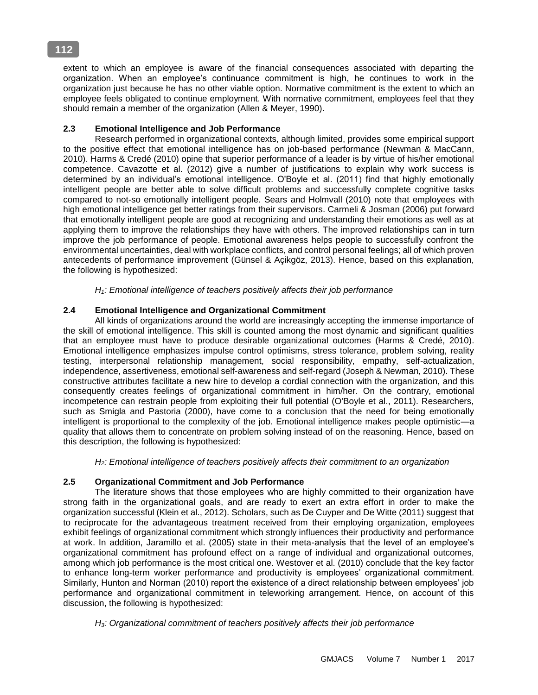extent to which an employee is aware of the financial consequences associated with departing the organization. When an employee's continuance commitment is high, he continues to work in the organization just because he has no other viable option. Normative commitment is the extent to which an employee feels obligated to continue employment. With normative commitment, employees feel that they should remain a member of the organization (Allen & Meyer, 1990).

# **2.3 Emotional Intelligence and Job Performance**

Research performed in organizational contexts, although limited, provides some empirical support to the positive effect that emotional intelligence has on job-based performance (Newman & MacCann, 2010). Harms & Credé (2010) opine that superior performance of a leader is by virtue of his/her emotional competence. Cavazotte et al. (2012) give a number of justifications to explain why work success is determined by an individual's emotional intelligence. O'Boyle et al. (2011) find that highly emotionally intelligent people are better able to solve difficult problems and successfully complete cognitive tasks compared to not-so emotionally intelligent people. Sears and Holmvall (2010) note that employees with high emotional intelligence get better ratings from their supervisors. Carmeli & Josman (2006) put forward that emotionally intelligent people are good at recognizing and understanding their emotions as well as at applying them to improve the relationships they have with others. The improved relationships can in turn improve the job performance of people. Emotional awareness helps people to successfully confront the environmental uncertainties, deal with workplace conflicts, and control personal feelings; all of which proven antecedents of performance improvement (Günsel & Açikgöz, 2013). Hence, based on this explanation, the following is hypothesized:

*H1: Emotional intelligence of teachers positively affects their job performan*c*e*

# **2.4 Emotional Intelligence and Organizational Commitment**

All kinds of organizations around the world are increasingly accepting the immense importance of the skill of emotional intelligence. This skill is counted among the most dynamic and significant qualities that an employee must have to produce desirable organizational outcomes (Harms & Credé, 2010). Emotional intelligence emphasizes impulse control optimisms, stress tolerance, problem solving, reality testing, interpersonal relationship management, social responsibility, empathy, self-actualization, independence, assertiveness, emotional self-awareness and self-regard (Joseph & Newman, 2010). These constructive attributes facilitate a new hire to develop a cordial connection with the organization, and this consequently creates feelings of organizational commitment in him/her. On the contrary, emotional incompetence can restrain people from exploiting their full potential (O'Boyle et al., 2011). Researchers, such as Smigla and Pastoria (2000), have come to a conclusion that the need for being emotionally intelligent is proportional to the complexity of the job. Emotional intelligence makes people optimistic—a quality that allows them to concentrate on problem solving instead of on the reasoning. Hence, based on this description, the following is hypothesized:

*H2: Emotional intelligence of teachers positively affects their commitment to an organization*

# **2.5 Organizational Commitment and Job Performance**

The literature shows that those employees who are highly committed to their organization have strong faith in the organizational goals, and are ready to exert an extra effort in order to make the organization successful (Klein et al., 2012). Scholars, such as De Cuyper and De Witte (2011) suggest that to reciprocate for the advantageous treatment received from their employing organization, employees exhibit feelings of organizational commitment which strongly influences their productivity and performance at work. In addition, Jaramillo et al. (2005) state in their meta-analysis that the level of an employee's organizational commitment has profound effect on a range of individual and organizational outcomes, among which job performance is the most critical one. Westover et al. (2010) conclude that the key factor to enhance long-term worker performance and productivity is employees' organizational commitment. Similarly, Hunton and Norman (2010) report the existence of a direct relationship between employees' job performance and organizational commitment in teleworking arrangement. Hence, on account of this discussion, the following is hypothesized:

*H3: Organizational commitment of teachers positively affects their job performance*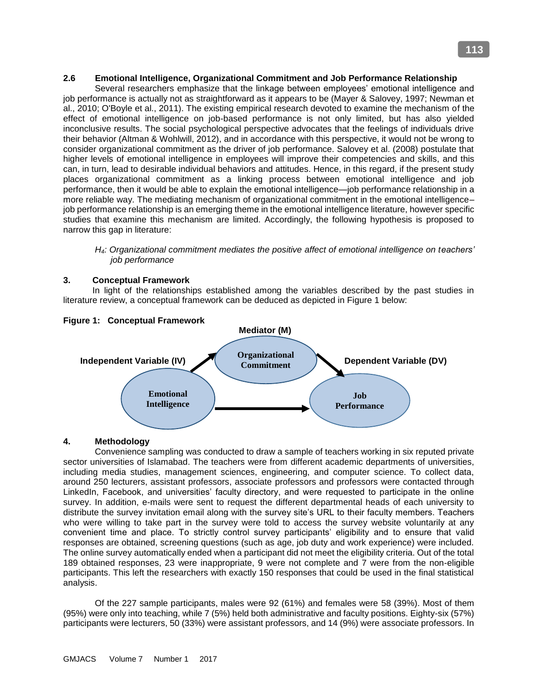## **2.6 Emotional Intelligence, Organizational Commitment and Job Performance Relationship**

Several researchers emphasize that the linkage between employees' emotional intelligence and job performance is actually not as straightforward as it appears to be (Mayer & Salovey, 1997; Newman et al., 2010; O'Boyle et al., 2011). The existing empirical research devoted to examine the mechanism of the effect of emotional intelligence on job-based performance is not only limited, but has also yielded inconclusive results. The social psychological perspective advocates that the feelings of individuals drive their behavior (Altman & Wohlwill, 2012), and in accordance with this perspective, it would not be wrong to consider organizational commitment as the driver of job performance. Salovey et al. (2008) postulate that higher levels of emotional intelligence in employees will improve their competencies and skills, and this can, in turn, lead to desirable individual behaviors and attitudes. Hence, in this regard, if the present study places organizational commitment as a linking process between emotional intelligence and job performance, then it would be able to explain the emotional intelligence—job performance relationship in a more reliable way. The mediating mechanism of organizational commitment in the emotional intelligence– job performance relationship is an emerging theme in the emotional intelligence literature, however specific studies that examine this mechanism are limited. Accordingly, the following hypothesis is proposed to narrow this gap in literature:

### *H4: Organizational commitment mediates the positive affect of emotional intelligence on teachers' job performance*

## **3. Conceptual Framework**

In light of the relationships established among the variables described by the past studies in literature review, a conceptual framework can be deduced as depicted in Figure 1 below:



#### **Figure 1: Conceptual Framework**

### **4. Methodology**

Convenience sampling was conducted to draw a sample of teachers working in six reputed private sector universities of Islamabad. The teachers were from different academic departments of universities, including media studies, management sciences, engineering, and computer science. To collect data, around 250 lecturers, assistant professors, associate professors and professors were contacted through LinkedIn, Facebook, and universities' faculty directory, and were requested to participate in the online survey. In addition, e-mails were sent to request the different departmental heads of each university to distribute the survey invitation email along with the survey site's URL to their faculty members. Teachers who were willing to take part in the survey were told to access the survey website voluntarily at any convenient time and place. To strictly control survey participants' eligibility and to ensure that valid responses are obtained, screening questions (such as age, job duty and work experience) were included. The online survey automatically ended when a participant did not meet the eligibility criteria. Out of the total 189 obtained responses, 23 were inappropriate, 9 were not complete and 7 were from the non-eligible participants. This left the researchers with exactly 150 responses that could be used in the final statistical analysis.

Of the 227 sample participants, males were 92 (61%) and females were 58 (39%). Most of them (95%) were only into teaching, while 7 (5%) held both administrative and faculty positions. Eighty-six (57%) participants were lecturers, 50 (33%) were assistant professors, and 14 (9%) were associate professors. In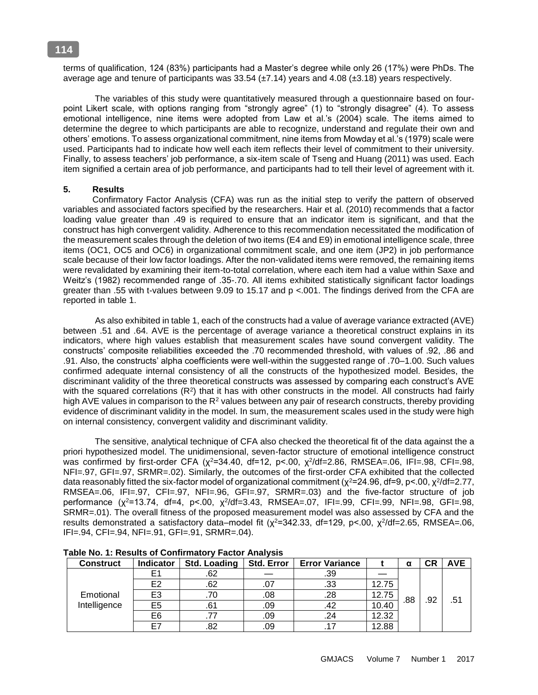terms of qualification, 124 (83%) participants had a Master's degree while only 26 (17%) were PhDs. The average age and tenure of participants was  $33.54 \text{ (+7.14)}$  years and  $4.08 \text{ (+3.18)}$  years respectively.

The variables of this study were quantitatively measured through a questionnaire based on fourpoint Likert scale, with options ranging from "strongly agree" (1) to "strongly disagree" (4). To assess emotional intelligence, nine items were adopted from Law et al.'s (2004) scale. The items aimed to determine the degree to which participants are able to recognize, understand and regulate their own and others' emotions. To assess organizational commitment, nine items from Mowday et al.'s (1979) scale were used. Participants had to indicate how well each item reflects their level of commitment to their university. Finally, to assess teachers' job performance, a six-item scale of Tseng and Huang (2011) was used. Each item signified a certain area of job performance, and participants had to tell their level of agreement with it.

### **5. Results**

 Confirmatory Factor Analysis (CFA) was run as the initial step to verify the pattern of observed variables and associated factors specified by the researchers. Hair et al. (2010) recommends that a factor loading value greater than .49 is required to ensure that an indicator item is significant, and that the construct has high convergent validity. Adherence to this recommendation necessitated the modification of the measurement scales through the deletion of two items (E4 and E9) in emotional intelligence scale, three items (OC1, OC5 and OC6) in organizational commitment scale, and one item (JP2) in job performance scale because of their low factor loadings. After the non-validated items were removed, the remaining items were revalidated by examining their item-to-total correlation, where each item had a value within Saxe and Weitz's (1982) recommended range of .35-.70. All items exhibited statistically significant factor loadings greater than .55 with t-values between 9.09 to 15.17 and p <.001. The findings derived from the CFA are reported in table 1.

 As also exhibited in table 1, each of the constructs had a value of average variance extracted (AVE) between .51 and .64. AVE is the percentage of average variance a theoretical construct explains in its indicators, where high values establish that measurement scales have sound convergent validity. The constructs' composite reliabilities exceeded the .70 recommended threshold, with values of .92, .86 and .91. Also, the constructs' alpha coefficients were well-within the suggested range of .70–1.00. Such values confirmed adequate internal consistency of all the constructs of the hypothesized model. Besides, the discriminant validity of the three theoretical constructs was assessed by comparing each construct's AVE with the squared correlations  $(R^2)$  that it has with other constructs in the model. All constructs had fairly high AVE values in comparison to the  $R^2$  values between any pair of research constructs, thereby providing evidence of discriminant validity in the model. In sum, the measurement scales used in the study were high on internal consistency, convergent validity and discriminant validity.

The sensitive, analytical technique of CFA also checked the theoretical fit of the data against the a priori hypothesized model. The unidimensional, seven-factor structure of emotional intelligence construct was confirmed by first-order CFA (χ<sup>2</sup>=34.40, df=12, p<.00, χ<sup>2</sup>/df=2.86, RMSEA=.06, IFI=.98, CFI=.98, NFI=.97, GFI=.97, SRMR=.02). Similarly, the outcomes of the first-order CFA exhibited that the collected data reasonably fitted the six-factor model of organizational commitment ( $\chi^2$ =24.96, df=9, p<.00,  $\chi^2$ /df=2.77, RMSEA=.06, IFI=.97, CFI=.97, NFI=.96, GFI=.97, SRMR=.03) and the five-factor structure of job performance (χ<sup>2</sup>=13.74, df=4, p<.00, χ<sup>2</sup>/df=3.43, RMSEA=.07, IFI=.99, CFI=.99, NFI=.98, GFI=.98, SRMR=.01). The overall fitness of the proposed measurement model was also assessed by CFA and the results demonstrated a satisfactory data–model fit ( $\chi^2$ =342.33, df=129, p<.00,  $\chi^2$ /df=2.65, RMSEA=.06, IFI=.94, CFI=.94, NFI=.91, GFI=.91, SRMR=.04).

| <b>Construct</b>          | <b>Indicator</b> | <b>Std. Loading</b> | <b>Std. Error</b> | <b>Error Variance</b> |       |     |     | <b>AVE</b> |
|---------------------------|------------------|---------------------|-------------------|-----------------------|-------|-----|-----|------------|
| Emotional<br>Intelligence | E1               | .62                 |                   | .39                   |       |     |     |            |
|                           | E2               | .62                 | .07               | .33                   | 12.75 |     |     |            |
|                           | E3<br>E5         | .70                 | .08               | .28                   | 12.75 |     |     |            |
|                           |                  | .61                 | .09               | .42                   | 10.40 | .88 | .92 | .51        |
|                           | E6<br>.77        |                     | .09               | .24                   | 12.32 |     |     |            |
|                           | E7               | .82                 | .09               |                       | 12.88 |     |     |            |

| Table No. 1: Results of Confirmatory Factor Analysis |  |
|------------------------------------------------------|--|
|------------------------------------------------------|--|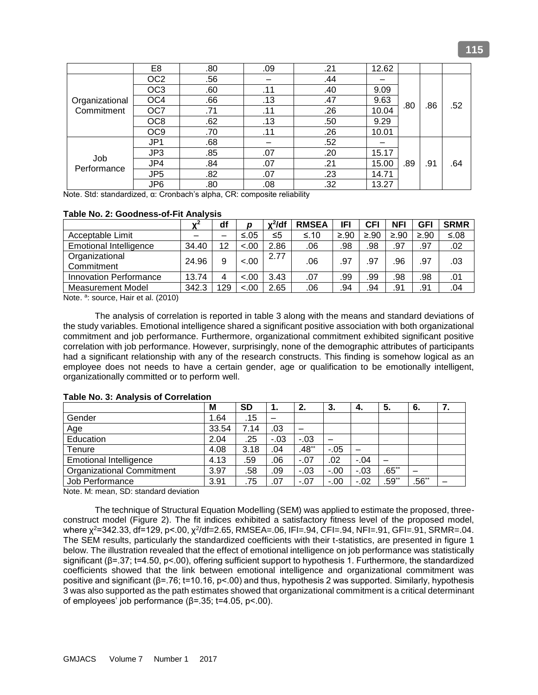|                              | E <sub>8</sub>                                                 | .80 | .09 | .21 | 12.62 |     |     |     |
|------------------------------|----------------------------------------------------------------|-----|-----|-----|-------|-----|-----|-----|
|                              | OC <sub>2</sub>                                                | .56 |     | .44 |       |     |     |     |
|                              | OC <sub>3</sub>                                                | .60 | .11 | .40 | 9.09  |     |     |     |
| Organizational<br>Commitment | OC <sub>4</sub><br>.66<br>OC7<br>.71<br>OC <sub>8</sub><br>.62 |     | .13 | .47 | 9.63  | .80 | .86 | .52 |
|                              |                                                                |     | .11 | .26 | 10.04 |     |     |     |
|                              |                                                                |     | .13 | .50 | 9.29  |     |     |     |
|                              | OC <sub>9</sub>                                                | .70 | .11 | .26 | 10.01 |     |     |     |
| Job<br>Performance           | JP <sub>1</sub>                                                | .68 |     | .52 |       |     |     |     |
|                              | JP3                                                            | .85 | .07 | .20 | 15.17 |     |     |     |
|                              | JP4                                                            | .84 | .07 | .21 | 15.00 | .89 | .91 | .64 |
|                              | JP <sub>5</sub><br>.82                                         |     | .07 | .23 | 14.71 |     |     |     |
|                              | JP <sub>6</sub>                                                | .80 | .08 | .32 | 13.27 |     |     |     |

Note. Std: standardized, α: Cronbach's alpha, CR: composite reliability

#### **Table No. 2: Goodness-of-Fit Analysis**

|                               | $\mathbf{v}^2$ | df  | D      | $x^2$ /df | <b>RMSEA</b> | IFI    | CFI       | <b>NFI</b> | GFI  | <b>SRMR</b> |
|-------------------------------|----------------|-----|--------|-----------|--------------|--------|-----------|------------|------|-------------|
| Acceptable Limit              |                |     | $≤.05$ | ≤5        | ≤.10         | $≥.90$ | $\geq 90$ | $≥.90$     | ≥.90 | $≤.08$      |
| <b>Emotional Intelligence</b> | 34.40          | 12  | < 0.0  | 2.86      | .06          | .98    | .98       | .97        | .97  | .02         |
| Organizational<br>Commitment  | 24.96          | 9   | $-.00$ | 2.77      | .06          | .97    | .97       | .96        | .97  | .03         |
| <b>Innovation Performance</b> | 13.74          | 4   | $-.00$ | 3.43      | .07          | .99    | .99       | .98        | .98  | .01         |
| <b>Measurement Model</b>      | 342.3          | 129 | $-.00$ | 2.65      | .06          | .94    | .94       | .91        | .91  | .04         |

Note. a: source, Hair et al. (2010)

The analysis of correlation is reported in table 3 along with the means and standard deviations of the study variables. Emotional intelligence shared a significant positive association with both organizational commitment and job performance. Furthermore, organizational commitment exhibited significant positive correlation with job performance. However, surprisingly, none of the demographic attributes of participants had a significant relationship with any of the research constructs. This finding is somehow logical as an employee does not needs to have a certain gender, age or qualification to be emotionally intelligent, organizationally committed or to perform well.

|                                  | M     | SD   | 1.    | 2.      | 3.     | 4.     | 5.      | 6.         | . . |
|----------------------------------|-------|------|-------|---------|--------|--------|---------|------------|-----|
| Gender                           | 1.64  | .15  |       |         |        |        |         |            |     |
| Age                              | 33.54 | 7.14 | .03   | —       |        |        |         |            |     |
| Education                        | 2.04  | .25  | $-03$ | $-.03$  |        |        |         |            |     |
| Tenure                           | 4.08  | 3.18 | .04   | $.48**$ | $-.05$ |        |         |            |     |
| <b>Emotional Intelligence</b>    | 4.13  | .59  | .06   | $-.07$  | .02    | $-.04$ |         |            |     |
| <b>Organizational Commitment</b> | 3.97  | .58  | .09   | $-.03$  | $-.00$ | $-.03$ | $.65**$ |            |     |
| Job Performance                  | 3.91  | .75  | .07   | $-.07$  | $-.00$ | $-.02$ | $.59**$ | $.56^{**}$ |     |

#### **Table No. 3: Analysis of Correlation**

Note. M: mean, SD: standard deviation

The technique of Structural Equation Modelling (SEM) was applied to estimate the proposed, threeconstruct model (Figure 2). The fit indices exhibited a satisfactory fitness level of the proposed model, where χ<sup>2</sup>=342.33, df=129, p<.00, χ<sup>2</sup>/df=2.65, RMSEA=.06, IFI=.94, CFI=.94, NFI=.91, GFI=.91, SRMR=.04. The SEM results, particularly the standardized coefficients with their t-statistics, are presented in figure 1 below. The illustration revealed that the effect of emotional intelligence on job performance was statistically significant (β=.37; t=4.50, p<.00), offering sufficient support to hypothesis 1. Furthermore, the standardized coefficients showed that the link between emotional intelligence and organizational commitment was positive and significant (β=.76; t=10.16, p<.00) and thus, hypothesis 2 was supported. Similarly, hypothesis 3 was also supported as the path estimates showed that organizational commitment is a critical determinant of employees' job performance (β=.35; t=4.05, p<.00).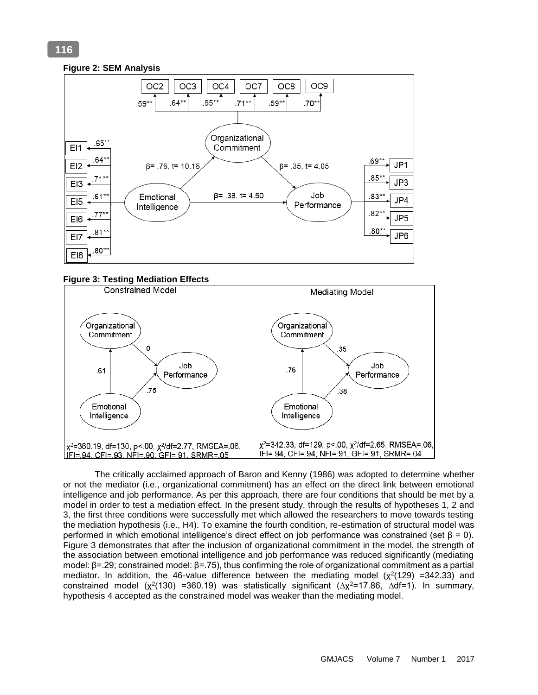# **Figure 2: SEM Analysis**



#### **Figure 3: Testing Mediation Effects**



The critically acclaimed approach of Baron and Kenny (1986) was adopted to determine whether or not the mediator (i.e., organizational commitment) has an effect on the direct link between emotional intelligence and job performance. As per this approach, there are four conditions that should be met by a model in order to test a mediation effect. In the present study, through the results of hypotheses 1, 2 and 3, the first three conditions were successfully met which allowed the researchers to move towards testing the mediation hypothesis (i.e., H4). To examine the fourth condition, re-estimation of structural model was performed in which emotional intelligence's direct effect on job performance was constrained (set β = 0). Figure 3 demonstrates that after the inclusion of organizational commitment in the model, the strength of the association between emotional intelligence and job performance was reduced significantly (mediating model: β=.29; constrained model: β=.75), thus confirming the role of organizational commitment as a partial mediator. In addition, the 46-value difference between the mediating model  $(x^2(129) = 342.33)$  and constrained model ( $\chi^2(130)$  =360.19) was statistically significant ( $\Delta \chi^2$ =17.86,  $\Delta$ df=1). In summary, hypothesis 4 accepted as the constrained model was weaker than the mediating model.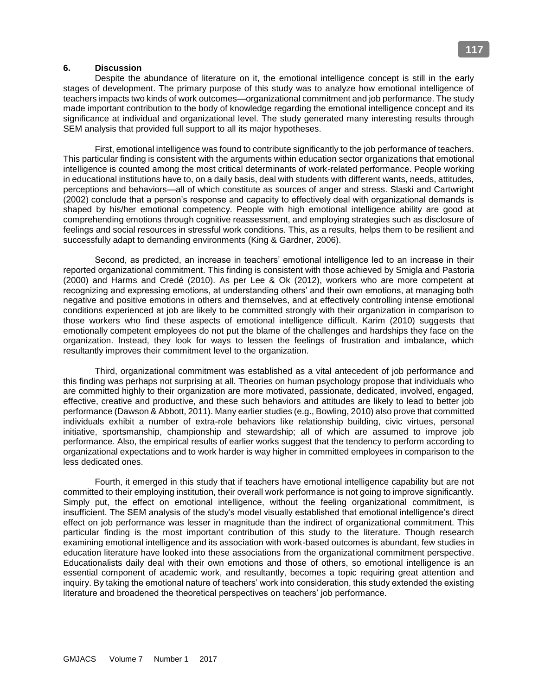#### **6. Discussion**

Despite the abundance of literature on it, the emotional intelligence concept is still in the early stages of development. The primary purpose of this study was to analyze how emotional intelligence of teachers impacts two kinds of work outcomes—organizational commitment and job performance. The study made important contribution to the body of knowledge regarding the emotional intelligence concept and its significance at individual and organizational level. The study generated many interesting results through SEM analysis that provided full support to all its major hypotheses.

First, emotional intelligence was found to contribute significantly to the job performance of teachers. This particular finding is consistent with the arguments within education sector organizations that emotional intelligence is counted among the most critical determinants of work-related performance. People working in educational institutions have to, on a daily basis, deal with students with different wants, needs, attitudes, perceptions and behaviors—all of which constitute as sources of anger and stress. Slaski and Cartwright (2002) conclude that a person's response and capacity to effectively deal with organizational demands is shaped by his/her emotional competency. People with high emotional intelligence ability are good at comprehending emotions through cognitive reassessment, and employing strategies such as disclosure of feelings and social resources in stressful work conditions. This, as a results, helps them to be resilient and successfully adapt to demanding environments (King & Gardner, 2006).

Second, as predicted, an increase in teachers' emotional intelligence led to an increase in their reported organizational commitment. This finding is consistent with those achieved by Smigla and Pastoria (2000) and Harms and Credé (2010). As per Lee & Ok (2012), workers who are more competent at recognizing and expressing emotions, at understanding others' and their own emotions, at managing both negative and positive emotions in others and themselves, and at effectively controlling intense emotional conditions experienced at job are likely to be committed strongly with their organization in comparison to those workers who find these aspects of emotional intelligence difficult. Karim (2010) suggests that emotionally competent employees do not put the blame of the challenges and hardships they face on the organization. Instead, they look for ways to lessen the feelings of frustration and imbalance, which resultantly improves their commitment level to the organization.

Third, organizational commitment was established as a vital antecedent of job performance and this finding was perhaps not surprising at all. Theories on human psychology propose that individuals who are committed highly to their organization are more motivated, passionate, dedicated, involved, engaged, effective, creative and productive, and these such behaviors and attitudes are likely to lead to better job performance (Dawson & Abbott, 2011). Many earlier studies (e.g., Bowling, 2010) also prove that committed individuals exhibit a number of extra-role behaviors like relationship building, civic virtues, personal initiative, sportsmanship, championship and stewardship; all of which are assumed to improve job performance. Also, the empirical results of earlier works suggest that the tendency to perform according to organizational expectations and to work harder is way higher in committed employees in comparison to the less dedicated ones.

Fourth, it emerged in this study that if teachers have emotional intelligence capability but are not committed to their employing institution, their overall work performance is not going to improve significantly. Simply put, the effect on emotional intelligence, without the feeling organizational commitment, is insufficient. The SEM analysis of the study's model visually established that emotional intelligence's direct effect on job performance was lesser in magnitude than the indirect of organizational commitment. This particular finding is the most important contribution of this study to the literature. Though research examining emotional intelligence and its association with work-based outcomes is abundant, few studies in education literature have looked into these associations from the organizational commitment perspective. Educationalists daily deal with their own emotions and those of others, so emotional intelligence is an essential component of academic work, and resultantly, becomes a topic requiring great attention and inquiry. By taking the emotional nature of teachers' work into consideration, this study extended the existing literature and broadened the theoretical perspectives on teachers' job performance.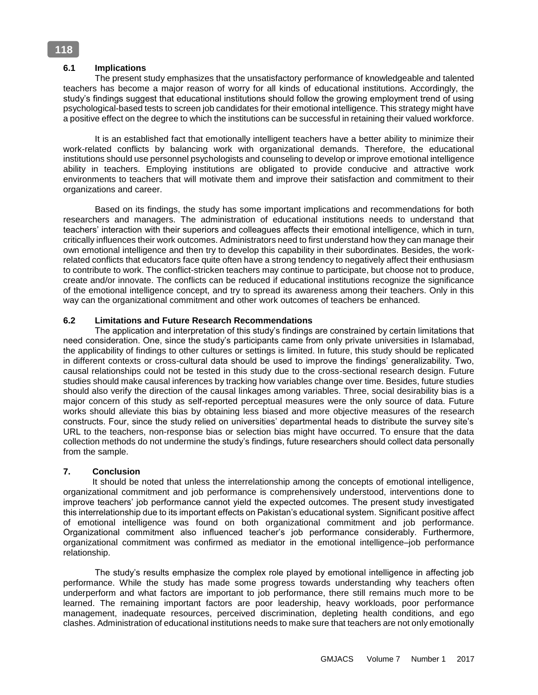# **6.1 Implications**

The present study emphasizes that the unsatisfactory performance of knowledgeable and talented teachers has become a major reason of worry for all kinds of educational institutions. Accordingly, the study's findings suggest that educational institutions should follow the growing employment trend of using psychological-based tests to screen job candidates for their emotional intelligence. This strategy might have a positive effect on the degree to which the institutions can be successful in retaining their valued workforce.

It is an established fact that emotionally intelligent teachers have a better ability to minimize their work-related conflicts by balancing work with organizational demands. Therefore, the educational institutions should use personnel psychologists and counseling to develop or improve emotional intelligence ability in teachers. Employing institutions are obligated to provide conducive and attractive work environments to teachers that will motivate them and improve their satisfaction and commitment to their organizations and career.

Based on its findings, the study has some important implications and recommendations for both researchers and managers. The administration of educational institutions needs to understand that teachers' interaction with their superiors and colleagues affects their emotional intelligence, which in turn, critically influences their work outcomes. Administrators need to first understand how they can manage their own emotional intelligence and then try to develop this capability in their subordinates. Besides, the workrelated conflicts that educators face quite often have a strong tendency to negatively affect their enthusiasm to contribute to work. The conflict-stricken teachers may continue to participate, but choose not to produce, create and/or innovate. The conflicts can be reduced if educational institutions recognize the significance of the emotional intelligence concept, and try to spread its awareness among their teachers. Only in this way can the organizational commitment and other work outcomes of teachers be enhanced.

### **6.2 Limitations and Future Research Recommendations**

The application and interpretation of this study's findings are constrained by certain limitations that need consideration. One, since the study's participants came from only private universities in Islamabad, the applicability of findings to other cultures or settings is limited. In future, this study should be replicated in different contexts or cross-cultural data should be used to improve the findings' generalizability. Two, causal relationships could not be tested in this study due to the cross-sectional research design. Future studies should make causal inferences by tracking how variables change over time. Besides, future studies should also verify the direction of the causal linkages among variables. Three, social desirability bias is a major concern of this study as self-reported perceptual measures were the only source of data. Future works should alleviate this bias by obtaining less biased and more objective measures of the research constructs. Four, since the study relied on universities' departmental heads to distribute the survey site's URL to the teachers, non-response bias or selection bias might have occurred. To ensure that the data collection methods do not undermine the study's findings, future researchers should collect data personally from the sample.

### **7. Conclusion**

 It should be noted that unless the interrelationship among the concepts of emotional intelligence, organizational commitment and job performance is comprehensively understood, interventions done to improve teachers' job performance cannot yield the expected outcomes. The present study investigated this interrelationship due to its important effects on Pakistan's educational system. Significant positive affect of emotional intelligence was found on both organizational commitment and job performance. Organizational commitment also influenced teacher's job performance considerably. Furthermore, organizational commitment was confirmed as mediator in the emotional intelligence–job performance relationship.

The study's results emphasize the complex role played by emotional intelligence in affecting job performance. While the study has made some progress towards understanding why teachers often underperform and what factors are important to job performance, there still remains much more to be learned. The remaining important factors are poor leadership, heavy workloads, poor performance management, inadequate resources, perceived discrimination, depleting health conditions, and ego clashes. Administration of educational institutions needs to make sure that teachers are not only emotionally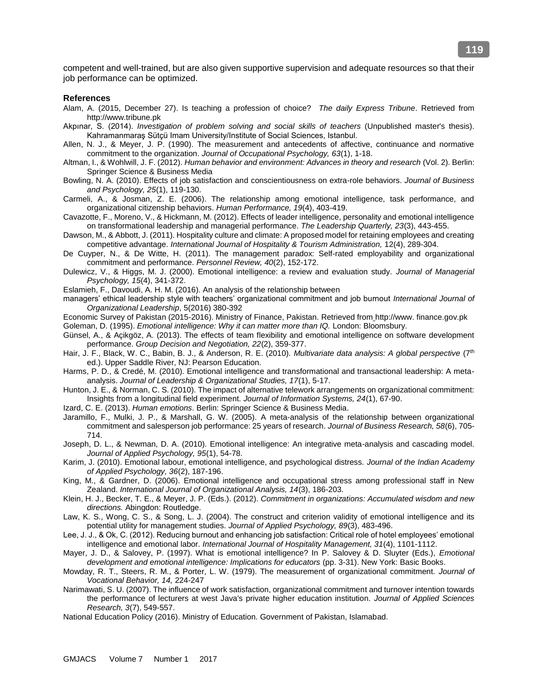competent and well-trained, but are also given supportive supervision and adequate resources so that their job performance can be optimized.

#### **References**

- Alam, A. (2015, December 27). Is teaching a profession of choice? *The daily Express Tribune*. Retrieved from http://www.tribune.pk
- Akpınar, S. (2014). *Investigation of problem solving and social skills of teachers* (Unpublished master's thesis). Kahramanmaraş Sütçü Imam University/Institute of Social Sciences, Istanbul.
- Allen, N. J., & Meyer, J. P. (1990). The measurement and antecedents of affective, continuance and normative commitment to the organization. *Journal of Occupational Psychology, 63*(1), 1-18.
- Altman, I., & Wohlwill, J. F. (2012). *Human behavior and environment: Advances in theory and research* (Vol. 2). Berlin: Springer Science & Business Media
- Bowling, N. A. (2010). Effects of job satisfaction and conscientiousness on extra-role behaviors. *Journal of Business and Psychology, 25*(1), 119-130.
- Carmeli, A., & Josman, Z. E. (2006). The relationship among emotional intelligence, task performance, and organizational citizenship behaviors. *Human Performance, 19*(4), 403-419.
- Cavazotte, F., Moreno, V., & Hickmann, M. (2012). Effects of leader intelligence, personality and emotional intelligence on transformational leadership and managerial performance. *The Leadership Quarterly, 23*(3), 443-455.
- Dawson, M., & Abbott, J. (2011). Hospitality culture and climate: A proposed model for retaining employees and creating competitive advantage. *International Journal of Hospitality & Tourism Administration,* 12(4), 289-304.
- De Cuyper, N., & De Witte, H. (2011). The management paradox: Self-rated employability and organizational commitment and performance. *Personnel Review, 40*(2), 152-172.
- Dulewicz, V., & Higgs, M. J. (2000). Emotional intelligence: a review and evaluation study. *Journal of Managerial Psychology, 15*(4), 341-372.
- Eslamieh, F., Davoudi, A. H. M. (2016). An analysis of the relationship between
- managers' ethical leadership style with teachers' organizational commitment and job burnout *International Journal of Organizational Leadership*, 5(2016) 380-392
- Economic Survey of Pakistan (2015-2016). Ministry of Finance, Pakistan. Retrieved from http://www. finance.gov.pk
- Goleman, D. (1995). *Emotional intelligence: Why it can matter more than IQ.* London: Bloomsbury.
- Günsel, A., & Açikgöz, A. (2013). The effects of team flexibility and emotional intelligence on software development performance. *Group Decision and Negotiation, 22*(2), 359-377.
- Hair, J. F., Black, W. C., Babin, B. J., & Anderson, R. E. (2010). *Multivariate data analysis: A global perspective* (7th ed.). Upper Saddle River, NJ: Pearson Education.
- Harms, P. D., & Credé, M. (2010). Emotional intelligence and transformational and transactional leadership: A metaanalysis. *Journal of Leadership & Organizational Studies, 17*(1), 5-17.
- Hunton, J. E., & Norman, C. S. (2010). The impact of alternative telework arrangements on organizational commitment: Insights from a longitudinal field experiment. *Journal of Information Systems, 24*(1), 67-90.
- Izard, C. E. (2013). *Human emotions*. Berlin: Springer Science & Business Media.
- Jaramillo, F., Mulki, J. P., & Marshall, G. W. (2005). A meta-analysis of the relationship between organizational commitment and salesperson job performance: 25 years of research. *Journal of Business Research, 58*(6), 705- 714.
- Joseph, D. L., & Newman, D. A. (2010). Emotional intelligence: An integrative meta-analysis and cascading model. *Journal of Applied Psychology, 95*(1), 54-78.
- Karim, J. (2010). Emotional labour, emotional intelligence, and psychological distress. *Journal of the Indian Academy of Applied Psychology, 36*(2), 187-196.
- King, M., & Gardner, D. (2006). Emotional intelligence and occupational stress among professional staff in New Zealand. *International Journal of Organizational Analysis, 14*(3), 186-203.
- Klein, H. J., Becker, T. E., & Meyer, J. P. (Eds.). (2012). *Commitment in organizations: Accumulated wisdom and new directions.* Abingdon: Routledge.
- Law, K. S., Wong, C. S., & Song, L. J. (2004). The construct and criterion validity of emotional intelligence and its potential utility for management studies. *Journal of Applied Psychology, 89*(3), 483-496.
- Lee, J. J., & Ok, C. (2012). Reducing burnout and enhancing job satisfaction: Critical role of hotel employees' emotional intelligence and emotional labor. *International Journal of Hospitality Management, 31*(4), 1101-1112.
- Mayer, J. D., & Salovey, P. (1997). What is emotional intelligence? In P. Salovey & D. Sluyter (Eds.), *Emotional development and emotional intelligence: Implications for educators* (pp. 3-31). New York: Basic Books.
- Mowday, R. T., Steers, R. M., & Porter, L. W. (1979). The measurement of organizational commitment. *Journal of Vocational Behavior, 14,* 224-247
- Narimawati, S. U. (2007). The influence of work satisfaction, organizational commitment and turnover intention towards the performance of lecturers at west Java's private higher education institution. *Journal of Applied Sciences Research, 3*(7), 549-557.
- National Education Policy (2016). Ministry of Education. Government of Pakistan, Islamabad.